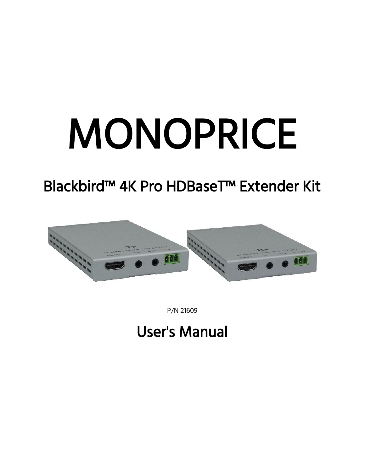# MONOPRICE

## Blackbird™ 4K Pro HDBaseT™ Extender Kit



P/N 21609

## User's Manual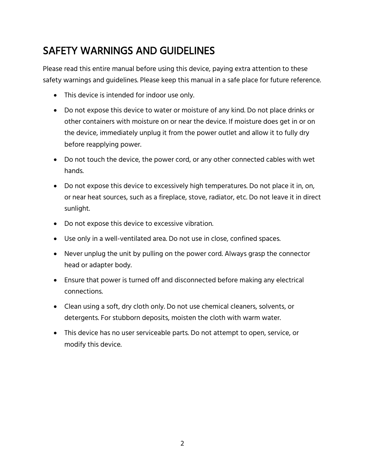## SAFETY WARNINGS AND GUIDELINES

Please read this entire manual before using this device, paying extra attention to these safety warnings and guidelines. Please keep this manual in a safe place for future reference.

- This device is intended for indoor use only.
- Do not expose this device to water or moisture of any kind. Do not place drinks or other containers with moisture on or near the device. If moisture does get in or on the device, immediately unplug it from the power outlet and allow it to fully dry before reapplying power.
- Do not touch the device, the power cord, or any other connected cables with wet hands.
- Do not expose this device to excessively high temperatures. Do not place it in, on, or near heat sources, such as a fireplace, stove, radiator, etc. Do not leave it in direct sunlight.
- Do not expose this device to excessive vibration.
- Use only in a well-ventilated area. Do not use in close, confined spaces.
- Never unplug the unit by pulling on the power cord. Always grasp the connector head or adapter body.
- Ensure that power is turned off and disconnected before making any electrical connections.
- Clean using a soft, dry cloth only. Do not use chemical cleaners, solvents, or detergents. For stubborn deposits, moisten the cloth with warm water.
- This device has no user serviceable parts. Do not attempt to open, service, or modify this device.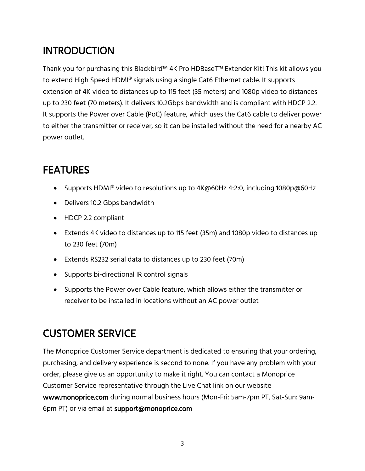## **INTRODUCTION**

Thank you for purchasing this Blackbird™ 4K Pro HDBaseT™ Extender Kit! This kit allows you to extend High Speed HDMI® signals using a single Cat6 Ethernet cable. It supports extension of 4K video to distances up to 115 feet (35 meters) and 1080p video to distances up to 230 feet (70 meters). It delivers 10.2Gbps bandwidth and is compliant with HDCP 2.2. It supports the Power over Cable (PoC) feature, which uses the Cat6 cable to deliver power to either the transmitter or receiver, so it can be installed without the need for a nearby AC power outlet.

## **FEATURES**

- Supports HDMI<sup>®</sup> video to resolutions up to 4K@60Hz 4:2:0, including 1080p@60Hz
- Delivers 10.2 Gbps bandwidth
- HDCP 2.2 compliant
- Extends 4K video to distances up to 115 feet (35m) and 1080p video to distances up to 230 feet (70m)
- Extends RS232 serial data to distances up to 230 feet (70m)
- Supports bi-directional IR control signals
- Supports the Power over Cable feature, which allows either the transmitter or receiver to be installed in locations without an AC power outlet

## CUSTOMER SERVICE

The Monoprice Customer Service department is dedicated to ensuring that your ordering, purchasing, and delivery experience is second to none. If you have any problem with your order, please give us an opportunity to make it right. You can contact a Monoprice Customer Service representative through the Live Chat link on our website www.monoprice.com during normal business hours (Mon-Fri: 5am-7pm PT, Sat-Sun: 9am-6pm PT) or via email at support@monoprice.com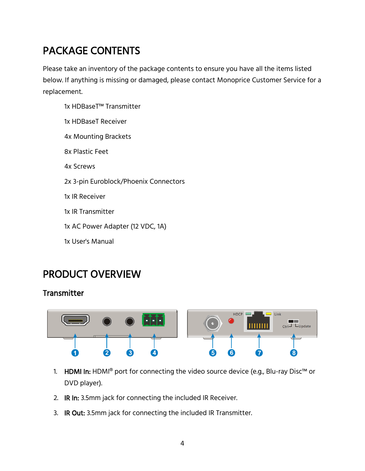## PACKAGE CONTENTS

Please take an inventory of the package contents to ensure you have all the items listed below. If anything is missing or damaged, please contact Monoprice Customer Service for a replacement.

- 1x HDBaseT™ Transmitter
- 1x HDBaseT Receiver
- 4x Mounting Brackets
- 8x Plastic Feet
- 4x Screws
- 2x 3-pin Euroblock/Phoenix Connectors
- 1x IR Receiver
- 1x IR Transmitter
- 1x AC Power Adapter (12 VDC, 1A)
- 1x User's Manual

#### PRODUCT OVERVIEW

#### **Transmitter**



- 1. HDMI In: HDMI® port for connecting the video source device (e.g., Blu-ray Disc™ or DVD player).
- 2. IR In: 3.5mm jack for connecting the included IR Receiver.
- 3. IR Out: 3.5mm jack for connecting the included IR Transmitter.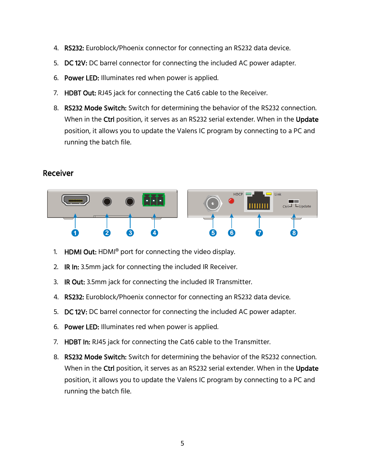- 4. RS232: Euroblock/Phoenix connector for connecting an RS232 data device.
- 5. DC 12V: DC barrel connector for connecting the included AC power adapter.
- 6. Power LED: Illuminates red when power is applied.
- 7. HDBT Out: RJ45 jack for connecting the Cat6 cable to the Receiver.
- 8. RS232 Mode Switch: Switch for determining the behavior of the RS232 connection. When in the Ctrl position, it serves as an RS232 serial extender. When in the Update position, it allows you to update the Valens IC program by connecting to a PC and running the batch file.

#### Receiver



- 1. HDMI Out: HDMI<sup>®</sup> port for connecting the video display.
- 2. IR In: 3.5mm jack for connecting the included IR Receiver.
- 3. IR Out: 3.5mm jack for connecting the included IR Transmitter.
- 4. RS232: Euroblock/Phoenix connector for connecting an RS232 data device.
- 5. DC 12V: DC barrel connector for connecting the included AC power adapter.
- 6. Power LED: Illuminates red when power is applied.
- 7. HDBT In: RJ45 jack for connecting the Cat6 cable to the Transmitter.
- 8. RS232 Mode Switch: Switch for determining the behavior of the RS232 connection. When in the Ctrl position, it serves as an RS232 serial extender. When in the Update position, it allows you to update the Valens IC program by connecting to a PC and running the batch file.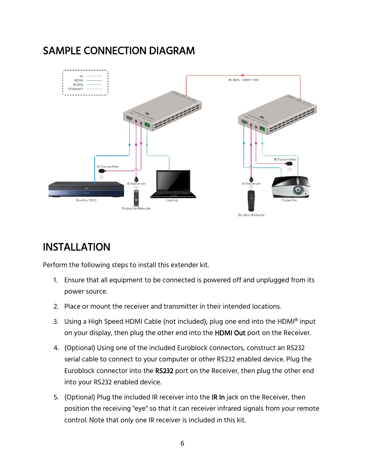## SAMPLE CONNECTION DIAGRAM



## INSTALLATION

Perform the following steps to install this extender kit.

- 1. Ensure that all equipment to be connected is powered off and unplugged from its power source.
- 2. Place or mount the receiver and transmitter in their intended locations.
- 3. Using a High Speed HDMI Cable (not included), plug one end into the HDMI® input on your display, then plug the other end into the HDMI Out port on the Receiver.
- 4. (Optional) Using one of the included Euroblock connectors, construct an RS232 serial cable to connect to your computer or other RS232 enabled device. Plug the Euroblock connector into the RS232 port on the Receiver, then plug the other end into your RS232 enabled device.
- 5. (Optional) Plug the included IR receiver into the IR In jack on the Receiver, then position the receiving "eye" so that it can receiver infrared signals from your remote control. Note that only one IR receiver is included in this kit.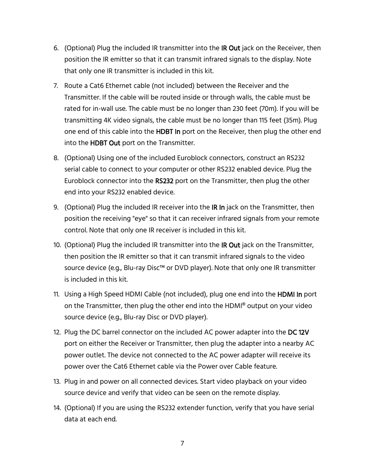- 6. (Optional) Plug the included IR transmitter into the IR Out jack on the Receiver, then position the IR emitter so that it can transmit infrared signals to the display. Note that only one IR transmitter is included in this kit.
- 7. Route a Cat6 Ethernet cable (not included) between the Receiver and the Transmitter. If the cable will be routed inside or through walls, the cable must be rated for in-wall use. The cable must be no longer than 230 feet (70m). If you will be transmitting 4K video signals, the cable must be no longer than 115 feet (35m). Plug one end of this cable into the HDBT In port on the Receiver, then plug the other end into the HDBT Out port on the Transmitter.
- 8. (Optional) Using one of the included Euroblock connectors, construct an RS232 serial cable to connect to your computer or other RS232 enabled device. Plug the Euroblock connector into the RS232 port on the Transmitter, then plug the other end into your RS232 enabled device.
- 9. (Optional) Plug the included IR receiver into the IR In jack on the Transmitter, then position the receiving "eye" so that it can receiver infrared signals from your remote control. Note that only one IR receiver is included in this kit.
- 10. (Optional) Plug the included IR transmitter into the IR Out jack on the Transmitter, then position the IR emitter so that it can transmit infrared signals to the video source device (e.g., Blu-ray Disc™ or DVD player). Note that only one IR transmitter is included in this kit.
- 11. Using a High Speed HDMI Cable (not included), plug one end into the HDMI In port on the Transmitter, then plug the other end into the HDMI® output on your video source device (e.g., Blu-ray Disc or DVD player).
- 12. Plug the DC barrel connector on the included AC power adapter into the DC 12V port on either the Receiver or Transmitter, then plug the adapter into a nearby AC power outlet. The device not connected to the AC power adapter will receive its power over the Cat6 Ethernet cable via the Power over Cable feature.
- 13. Plug in and power on all connected devices. Start video playback on your video source device and verify that video can be seen on the remote display.
- 14. (Optional) If you are using the RS232 extender function, verify that you have serial data at each end.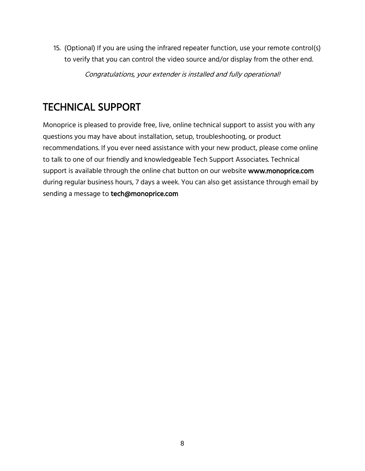15. (Optional) If you are using the infrared repeater function, use your remote control(s) to verify that you can control the video source and/or display from the other end.

Congratulations, your extender is installed and fully operational!

## TECHNICAL SUPPORT

Monoprice is pleased to provide free, live, online technical support to assist you with any questions you may have about installation, setup, troubleshooting, or product recommendations. If you ever need assistance with your new product, please come online to talk to one of our friendly and knowledgeable Tech Support Associates. Technical support is available through the online chat button on our website www.monoprice.com during regular business hours, 7 days a week. You can also get assistance through email by sending a message to tech@monoprice.com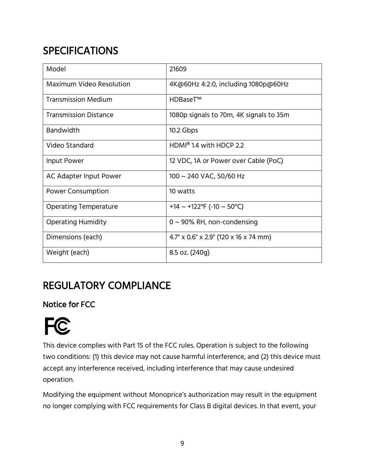## **SPECIFICATIONS**

| Model                           | 21609                                    |
|---------------------------------|------------------------------------------|
| <b>Maximum Video Resolution</b> | 4K@60Hz 4:2:0, including 1080p@60Hz      |
| <b>Transmission Medium</b>      | HDBaseT <sup>™</sup>                     |
| <b>Transmission Distance</b>    | 1080p signals to 70m, 4K signals to 35m  |
| <b>Bandwidth</b>                | 10.2 Gbps                                |
| Video Standard                  | $HDMI^{\circledcirc}$ 1.4 with HDCP 2.2  |
| Input Power                     | 12 VDC, 1A or Power over Cable (PoC)     |
| AC Adapter Input Power          | 100 ~ 240 VAC, 50/60 Hz                  |
| <b>Power Consumption</b>        | 10 watts                                 |
| <b>Operating Temperature</b>    | +14 ~ +122°F (-10 ~ 50°C)                |
| <b>Operating Humidity</b>       | $0 \sim 90\%$ RH, non-condensing         |
| Dimensions (each)               | $4.7''$ x 0.6" x 2.9" (120 x 16 x 74 mm) |
| Weight (each)                   | 8.5 oz. (240g)                           |

## REGULATORY COMPLIANCE

Notice for FCC

## **FC**

This device complies with Part 15 of the FCC rules. Operation is subject to the following two conditions: (1) this device may not cause harmful interference, and (2) this device must accept any interference received, including interference that may cause undesired operation.

Modifying the equipment without Monoprice's authorization may result in the equipment no longer complying with FCC requirements for Class B digital devices. In that event, your